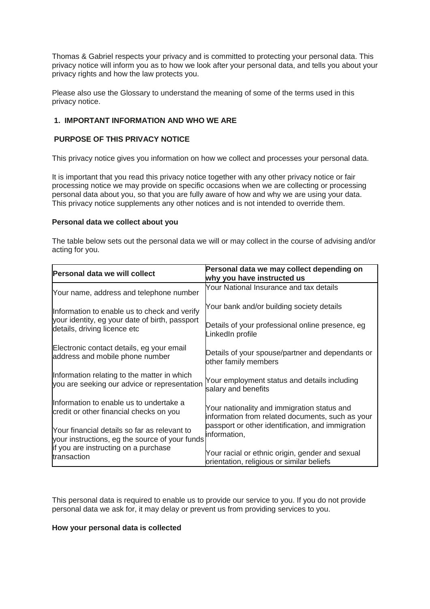Thomas & Gabriel respects your privacy and is committed to protecting your personal data. This privacy notice will inform you as to how we look after your personal data, and tells you about your privacy rights and how the law protects you.

Please also use the Glossary to understand the meaning of some of the terms used in this privacy notice.

# **1. IMPORTANT INFORMATION AND WHO WE ARE**

## **PURPOSE OF THIS PRIVACY NOTICE**

This privacy notice gives you information on how we collect and processes your personal data.

It is important that you read this privacy notice together with any other privacy notice or fair processing notice we may provide on specific occasions when we are collecting or processing personal data about you, so that you are fully aware of how and why we are using your data. This privacy notice supplements any other notices and is not intended to override them.

#### **Personal data we collect about you**

The table below sets out the personal data we will or may collect in the course of advising and/or acting for you.

| Personal data we will collect                  | Personal data we may collect depending on<br>why you have instructed us |
|------------------------------------------------|-------------------------------------------------------------------------|
| Your name, address and telephone number        | Your National Insurance and tax details                                 |
| Information to enable us to check and verify   | Your bank and/or building society details                               |
| your identity, eg your date of birth, passport | Details of your professional online presence, eg                        |
| details, driving licence etc                   | LinkedIn profile                                                        |
| Electronic contact details, eg your email      | Details of your spouse/partner and dependants or                        |
| address and mobile phone number                | other family members                                                    |
| Information relating to the matter in which    | Your employment status and details including                            |
| you are seeking our advice or representation   | salary and benefits                                                     |
| Information to enable us to undertake a        | Your nationality and immigration status and                             |
| credit or other financial checks on you        | information from related documents, such as your                        |
| Your financial details so far as relevant to   | passport or other identification, and immigration                       |
| your instructions, eg the source of your funds | information,                                                            |
| if you are instructing on a purchase           | Your racial or ethnic origin, gender and sexual                         |
| transaction                                    | orientation, religious or similar beliefs                               |

This personal data is required to enable us to provide our service to you. If you do not provide personal data we ask for, it may delay or prevent us from providing services to you.

#### **How your personal data is collected**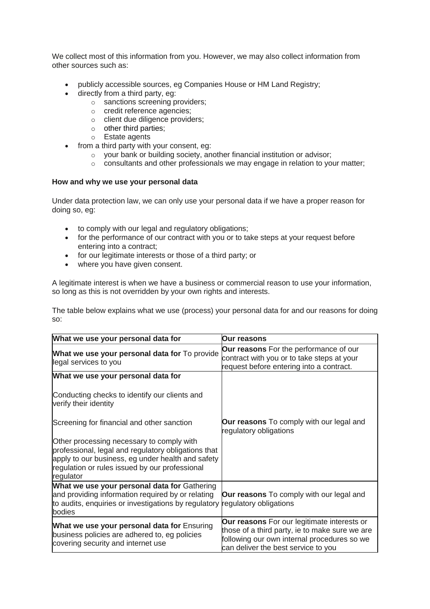We collect most of this information from you. However, we may also collect information from other sources such as:

- publicly accessible sources, eg Companies House or HM Land Registry;
- directly from a third party, eg:
	- o sanctions screening providers;
	- o credit reference agencies;
	- o client due diligence providers;
	- o other third parties;
	- o Estate agents
- from a third party with your consent, eg:
	- o your bank or building society, another financial institution or advisor;
	- o consultants and other professionals we may engage in relation to your matter;

## **How and why we use your personal data**

Under data protection law, we can only use your personal data if we have a proper reason for doing so, eg:

- to comply with our legal and regulatory obligations;
- for the performance of our contract with you or to take steps at your request before entering into a contract;
- for our legitimate interests or those of a third party; or
- where you have given consent.

A legitimate interest is when we have a business or commercial reason to use your information, so long as this is not overridden by your own rights and interests.

The table below explains what we use (process) your personal data for and our reasons for doing so:

| What we use your personal data for                                                                                                                                                                                   | Our reasons                                                                                                                                                                         |
|----------------------------------------------------------------------------------------------------------------------------------------------------------------------------------------------------------------------|-------------------------------------------------------------------------------------------------------------------------------------------------------------------------------------|
| What we use your personal data for To provide<br>legal services to you                                                                                                                                               | <b>Our reasons</b> For the performance of our<br>contract with you or to take steps at your<br>request before entering into a contract.                                             |
| What we use your personal data for                                                                                                                                                                                   |                                                                                                                                                                                     |
| Conducting checks to identify our clients and<br>verify their identity                                                                                                                                               |                                                                                                                                                                                     |
| Screening for financial and other sanction                                                                                                                                                                           | <b>Our reasons</b> To comply with our legal and<br>regulatory obligations                                                                                                           |
| Other processing necessary to comply with<br>professional, legal and regulatory obligations that<br>apply to our business, eg under health and safety<br>regulation or rules issued by our professional<br>regulator |                                                                                                                                                                                     |
| What we use your personal data for Gathering<br>and providing information required by or relating<br>to audits, enquiries or investigations by regulatory regulatory obligations<br>bodies                           | <b>Our reasons</b> To comply with our legal and                                                                                                                                     |
| <b>What we use your personal data for Ensuring</b><br>business policies are adhered to, eg policies<br>covering security and internet use                                                                            | Our reasons For our legitimate interests or<br>those of a third party, ie to make sure we are<br>following our own internal procedures so we<br>can deliver the best service to you |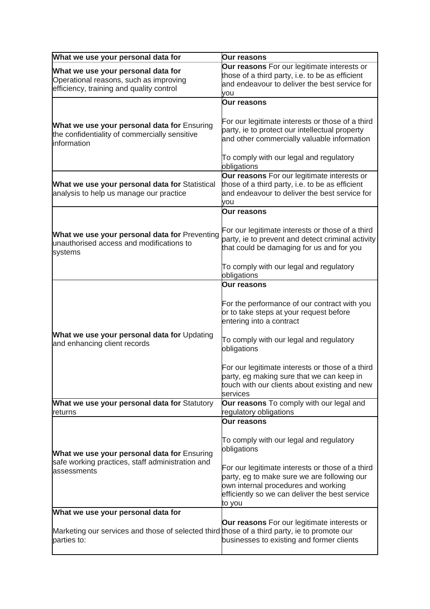| What we use your personal data for                                                                                       | <b>Our reasons</b>                                                                                                                                                                                 |
|--------------------------------------------------------------------------------------------------------------------------|----------------------------------------------------------------------------------------------------------------------------------------------------------------------------------------------------|
| What we use your personal data for<br>Operational reasons, such as improving<br>efficiency, training and quality control | Our reasons For our legitimate interests or<br>those of a third party, i.e. to be as efficient<br>and endeavour to deliver the best service for<br>you                                             |
|                                                                                                                          | <b>Our reasons</b>                                                                                                                                                                                 |
| What we use your personal data for Ensuring<br>the confidentiality of commercially sensitive<br>information              | For our legitimate interests or those of a third<br>party, ie to protect our intellectual property<br>and other commercially valuable information                                                  |
|                                                                                                                          | To comply with our legal and regulatory<br>obligations                                                                                                                                             |
| What we use your personal data for Statistical<br>analysis to help us manage our practice                                | Our reasons For our legitimate interests or<br>those of a third party, i.e. to be as efficient<br>and endeavour to deliver the best service for<br>you                                             |
|                                                                                                                          | <b>Our reasons</b>                                                                                                                                                                                 |
| What we use your personal data for Preventing<br>unauthorised access and modifications to<br>systems                     | For our legitimate interests or those of a third<br>party, ie to prevent and detect criminal activity<br>that could be damaging for us and for you                                                 |
|                                                                                                                          | To comply with our legal and regulatory<br>obligations                                                                                                                                             |
|                                                                                                                          | <b>Our reasons</b>                                                                                                                                                                                 |
|                                                                                                                          | For the performance of our contract with you<br>or to take steps at your request before<br>entering into a contract                                                                                |
| What we use your personal data for Updating<br>and enhancing client records                                              | To comply with our legal and regulatory<br>obligations                                                                                                                                             |
|                                                                                                                          | For our legitimate interests or those of a third<br>party, eg making sure that we can keep in<br>touch with our clients about existing and new<br>services                                         |
| What we use your personal data for Statutory<br>returns                                                                  | Our reasons To comply with our legal and<br>regulatory obligations                                                                                                                                 |
|                                                                                                                          | <b>Our reasons</b>                                                                                                                                                                                 |
| What we use your personal data for Ensuring<br>safe working practices, staff administration and                          | To comply with our legal and regulatory<br>obligations                                                                                                                                             |
| assessments                                                                                                              | For our legitimate interests or those of a third<br>party, eg to make sure we are following our<br>own internal procedures and working<br>efficiently so we can deliver the best service<br>to you |
| What we use your personal data for                                                                                       |                                                                                                                                                                                                    |
| Marketing our services and those of selected third those of a third party, ie to promote our<br>parties to:              | <b>Our reasons</b> For our legitimate interests or<br>businesses to existing and former clients                                                                                                    |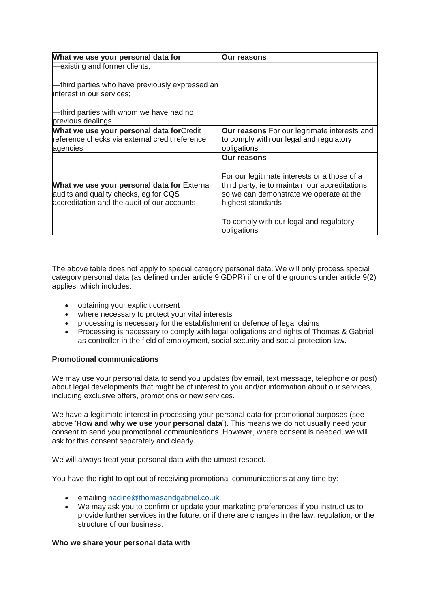| What we use your personal data for                                                   | Our reasons                                                                                                                                              |
|--------------------------------------------------------------------------------------|----------------------------------------------------------------------------------------------------------------------------------------------------------|
| existing and former clients;                                                         |                                                                                                                                                          |
| -third parties who have previously expressed an<br>interest in our services;         |                                                                                                                                                          |
| -third parties with whom we have had no<br>previous dealings.                        |                                                                                                                                                          |
| What we use your personal data forCredit                                             | <b>Our reasons</b> For our legitimate interests and                                                                                                      |
| reference checks via external credit reference                                       | to comply with our legal and regulatory                                                                                                                  |
| agencies                                                                             | obligations                                                                                                                                              |
| What we use your personal data for External<br>audits and quality checks, eg for CQS | Our reasons<br>For our legitimate interests or a those of a<br>third party, ie to maintain our accreditations<br>so we can demonstrate we operate at the |
| accreditation and the audit of our accounts                                          | highest standards<br>To comply with our legal and regulatory<br>obligations                                                                              |

The above table does not apply to special category personal data. We will only process special category personal data (as defined under article 9 GDPR) if one of the grounds under article 9(2) applies, which includes:

- obtaining your explicit consent
- where necessary to protect your vital interests
- processing is necessary for the establishment or defence of legal claims
- Processing is necessary to comply with legal obligations and rights of Thomas & Gabriel as controller in the field of employment, social security and social protection law.

## **Promotional communications**

We may use your personal data to send you updates (by email, text message, telephone or post) about legal developments that might be of interest to you and/or information about our services, including exclusive offers, promotions or new services.

We have a legitimate interest in processing your personal data for promotional purposes (see above '**How and why we use your personal data**'). This means we do not usually need your consent to send you promotional communications. However, where consent is needed, we will ask for this consent separately and clearly.

We will always treat your personal data with the utmost respect.

You have the right to opt out of receiving promotional communications at any time by:

- emailing [nadine@thomasandgabriel.co.uk](mailto:nadine@thomasandgabriel.co.uk)
- We may ask you to confirm or update your marketing preferences if you instruct us to provide further services in the future, or if there are changes in the law, regulation, or the structure of our business.

## **Who we share your personal data with**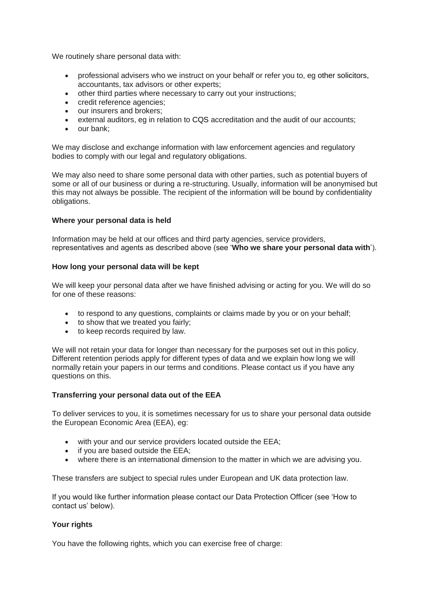We routinely share personal data with:

- professional advisers who we instruct on your behalf or refer you to, eg other solicitors, accountants, tax advisors or other experts;
- other third parties where necessary to carry out your instructions;
- credit reference agencies;
- our insurers and brokers;
- external auditors, eg in relation to CQS accreditation and the audit of our accounts;
- our bank;

We may disclose and exchange information with law enforcement agencies and regulatory bodies to comply with our legal and regulatory obligations.

We may also need to share some personal data with other parties, such as potential buyers of some or all of our business or during a re-structuring. Usually, information will be anonymised but this may not always be possible. The recipient of the information will be bound by confidentiality obligations.

## **Where your personal data is held**

Information may be held at our offices and third party agencies, service providers, representatives and agents as described above (see '**Who we share your personal data with**').

# **How long your personal data will be kept**

We will keep your personal data after we have finished advising or acting for you. We will do so for one of these reasons:

- to respond to any questions, complaints or claims made by you or on your behalf;
- to show that we treated you fairly;
- to keep records required by law.

We will not retain your data for longer than necessary for the purposes set out in this policy. Different retention periods apply for different types of data and we explain how long we will normally retain your papers in our terms and conditions. Please contact us if you have any questions on this.

## **Transferring your personal data out of the EEA**

To deliver services to you, it is sometimes necessary for us to share your personal data outside the European Economic Area (EEA), eg:

- with your and our service providers located outside the EEA;
- if you are based outside the EEA:
- where there is an international dimension to the matter in which we are advising you.

These transfers are subject to special rules under European and UK data protection law.

If you would like further information please contact our Data Protection Officer (see 'How to contact us' below).

# **Your rights**

You have the following rights, which you can exercise free of charge: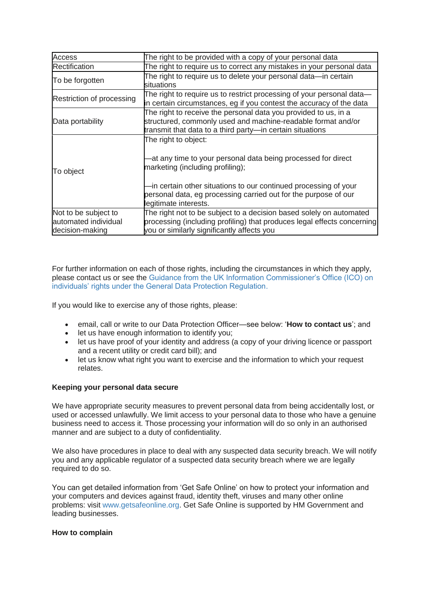| Access                                                          | The right to be provided with a copy of your personal data                                                                                                                                                                                                                                |
|-----------------------------------------------------------------|-------------------------------------------------------------------------------------------------------------------------------------------------------------------------------------------------------------------------------------------------------------------------------------------|
| Rectification                                                   | The right to require us to correct any mistakes in your personal data                                                                                                                                                                                                                     |
| To be forgotten                                                 | The right to require us to delete your personal data—in certain<br>situations                                                                                                                                                                                                             |
| Restriction of processing                                       | The right to require us to restrict processing of your personal data—<br>in certain circumstances, eg if you contest the accuracy of the data                                                                                                                                             |
| Data portability                                                | The right to receive the personal data you provided to us, in a<br>structured, commonly used and machine-readable format and/or<br>transmit that data to a third party-in certain situations                                                                                              |
| To object                                                       | The right to object:<br>-at any time to your personal data being processed for direct<br>marketing (including profiling);<br>-in certain other situations to our continued processing of your<br>personal data, eg processing carried out for the purpose of our<br>legitimate interests. |
| Not to be subject to<br>automated individual<br>decision-making | The right not to be subject to a decision based solely on automated<br>processing (including profiling) that produces legal effects concerning<br>you or similarly significantly affects you                                                                                              |

For further information on each of those rights, including the circumstances in which they apply, please contact us or see the [Guidance from the UK Information Commissioner's Office \(ICO\) on](http://ico.org.uk/for-organisations/guide-to-the-general-data-protection-regulation-gdpr/individual-rights/)  [individuals' rights under the General Data Protection Regulation](http://ico.org.uk/for-organisations/guide-to-the-general-data-protection-regulation-gdpr/individual-rights/)[.](https://ico.org.uk/for-organisations/guide-to-the-general-data-protection-regulation-gdpr/individual-rights/)

If you would like to exercise any of those rights, please:

- email, call or write to our Data Protection Officer—see below: '**How to contact us**'; and
- let us have enough information to identify you;
- let us have proof of your identity and address (a copy of your driving licence or passport and a recent utility or credit card bill); and
- let us know what right you want to exercise and the information to which your request relates.

## **Keeping your personal data secure**

We have appropriate security measures to prevent personal data from being accidentally lost, or used or accessed unlawfully. We limit access to your personal data to those who have a genuine business need to access it. Those processing your information will do so only in an authorised manner and are subject to a duty of confidentiality.

We also have procedures in place to deal with any suspected data security breach. We will notify you and any applicable regulator of a suspected data security breach where we are legally required to do so.

You can get detailed information from 'Get Safe Online' on how to protect your information and your computers and devices against fraud, identity theft, viruses and many other online problems: visit [www.getsafeonline.org.](http://www.getsafeonline.org/) Get Safe Online is supported by HM Government and leading businesses.

## **How to complain**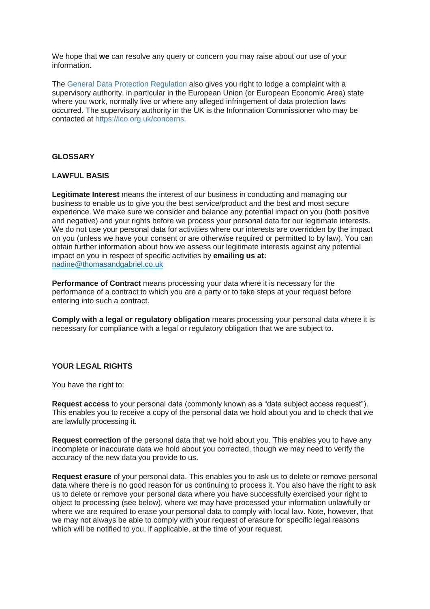We hope that **we** can resolve any query or concern you may raise about our use of your information.

The [General Data Protection Regulation](http://eur-lex.europa.eu/legal-content/EN/TXT/PDF/?uri=CELEX:32016R0679&from=EN) also gives you right to lodge a complaint with a supervisory authority, in particular in the European Union (or European Economic Area) state where you work, normally live or where any alleged infringement of data protection laws occurred. The supervisory authority in the UK is the Information Commissioner who may be contacted at [https://ico.org.uk/concerns.](http://ico.org.uk/concerns/)

## **GLOSSARY**

## **LAWFUL BASIS**

**Legitimate Interest** means the interest of our business in conducting and managing our business to enable us to give you the best service/product and the best and most secure experience. We make sure we consider and balance any potential impact on you (both positive and negative) and your rights before we process your personal data for our legitimate interests. We do not use your personal data for activities where our interests are overridden by the impact on you (unless we have your consent or are otherwise required or permitted to by law). You can obtain further information about how we assess our legitimate interests against any potential impact on you in respect of specific activities by **emailing us at:**  [nadine@thomasandg](mailto:nadine@thomasand)abriel.co.uk

**Performance of Contract** means processing your data where it is necessary for the performance of a contract to which you are a party or to take steps at your request before entering into such a contract.

**Comply with a legal or regulatory obligation** means processing your personal data where it is necessary for compliance with a legal or regulatory obligation that we are subject to.

## **YOUR LEGAL RIGHTS**

You have the right to:

**Request access** to your personal data (commonly known as a "data subject access request"). This enables you to receive a copy of the personal data we hold about you and to check that we are lawfully processing it.

**Request correction** of the personal data that we hold about you. This enables you to have any incomplete or inaccurate data we hold about you corrected, though we may need to verify the accuracy of the new data you provide to us.

**Request erasure** of your personal data. This enables you to ask us to delete or remove personal data where there is no good reason for us continuing to process it. You also have the right to ask us to delete or remove your personal data where you have successfully exercised your right to object to processing (see below), where we may have processed your information unlawfully or where we are required to erase your personal data to comply with local law. Note, however, that we may not always be able to comply with your request of erasure for specific legal reasons which will be notified to you, if applicable, at the time of your request.